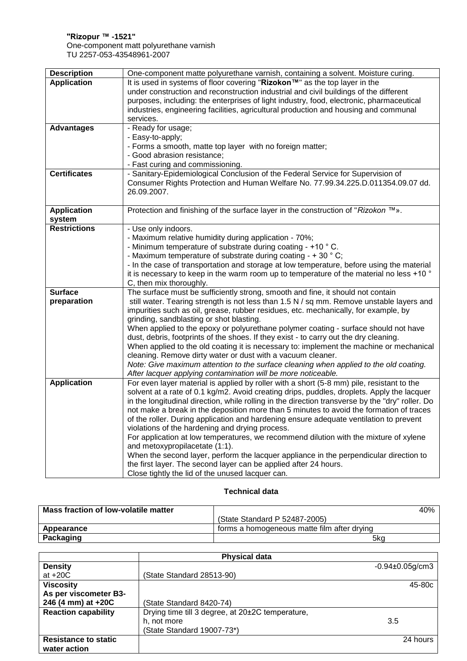## **"Rizopur ™ -1521"** One-component matt polyurethane varnish TU 2257-053-43548961-2007

| <b>Description</b>  | One-component matte polyurethane varnish, containing a solvent. Moisture curing.                                                                                            |
|---------------------|-----------------------------------------------------------------------------------------------------------------------------------------------------------------------------|
| <b>Application</b>  | It is used in systems of floor covering "Rizokon™" as the top layer in the                                                                                                  |
|                     | under construction and reconstruction industrial and civil buildings of the different                                                                                       |
|                     | purposes, including: the enterprises of light industry, food, electronic, pharmaceutical                                                                                    |
|                     | industries, engineering facilities, agricultural production and housing and communal                                                                                        |
|                     | services.                                                                                                                                                                   |
| <b>Advantages</b>   | - Ready for usage;                                                                                                                                                          |
|                     | - Easy-to-apply;                                                                                                                                                            |
|                     | - Forms a smooth, matte top layer with no foreign matter;                                                                                                                   |
|                     | - Good abrasion resistance;<br>- Fast curing and commissioning.                                                                                                             |
| <b>Certificates</b> | - Sanitary-Epidemiological Conclusion of the Federal Service for Supervision of                                                                                             |
|                     | Consumer Rights Protection and Human Welfare No. 77.99.34.225.D.011354.09.07 dd.                                                                                            |
|                     | 26.09.2007.                                                                                                                                                                 |
|                     |                                                                                                                                                                             |
| <b>Application</b>  | Protection and finishing of the surface layer in the construction of "Rizokon ™».                                                                                           |
| system              |                                                                                                                                                                             |
| <b>Restrictions</b> | - Use only indoors.                                                                                                                                                         |
|                     | - Maximum relative humidity during application - 70%;                                                                                                                       |
|                     | - Minimum temperature of substrate during coating - +10 °C.                                                                                                                 |
|                     | - Maximum temperature of substrate during coating - $+$ 30 $^{\circ}$ C;                                                                                                    |
|                     | - In the case of transportation and storage at low temperature, before using the material                                                                                   |
|                     | it is necessary to keep in the warm room up to temperature of the material no less +10 °                                                                                    |
|                     | C, then mix thoroughly.                                                                                                                                                     |
| <b>Surface</b>      | The surface must be sufficiently strong, smooth and fine, it should not contain<br>still water. Tearing strength is not less than 1.5 N / sq mm. Remove unstable layers and |
| preparation         | impurities such as oil, grease, rubber residues, etc. mechanically, for example, by                                                                                         |
|                     | grinding, sandblasting or shot blasting.                                                                                                                                    |
|                     | When applied to the epoxy or polyurethane polymer coating - surface should not have                                                                                         |
|                     | dust, debris, footprints of the shoes. If they exist - to carry out the dry cleaning.                                                                                       |
|                     | When applied to the old coating it is necessary to: implement the machine or mechanical                                                                                     |
|                     | cleaning. Remove dirty water or dust with a vacuum cleaner.                                                                                                                 |
|                     | Note: Give maximum attention to the surface cleaning when applied to the old coating.                                                                                       |
|                     | After lacquer applying contamination will be more noticeable.                                                                                                               |
| <b>Application</b>  | For even layer material is applied by roller with a short (5-8 mm) pile, resistant to the                                                                                   |
|                     | solvent at a rate of 0.1 kg/m2. Avoid creating drips, puddles, droplets. Apply the lacquer                                                                                  |
|                     | in the longitudinal direction, while rolling in the direction transverse by the "dry" roller. Do                                                                            |
|                     | not make a break in the deposition more than 5 minutes to avoid the formation of traces                                                                                     |
|                     | of the roller. During application and hardening ensure adequate ventilation to prevent                                                                                      |
|                     | violations of the hardening and drying process.                                                                                                                             |
|                     | For application at low temperatures, we recommend dilution with the mixture of xylene                                                                                       |
|                     | and metoxypropilacetate (1:1).<br>When the second layer, perform the lacquer appliance in the perpendicular direction to                                                    |
|                     | the first layer. The second layer can be applied after 24 hours.                                                                                                            |
|                     | Close tightly the lid of the unused lacquer can.                                                                                                                            |
|                     |                                                                                                                                                                             |

## **Technical data**

| Mass fraction of low-volatile matter | 40% l                                       |  |
|--------------------------------------|---------------------------------------------|--|
|                                      | (State Standard P 52487-2005)               |  |
| Appearance                           | forms a homogeneous matte film after drying |  |
| Packaging                            | 5kg                                         |  |

|                             | <b>Physical data</b>                             |                      |
|-----------------------------|--------------------------------------------------|----------------------|
| <b>Density</b>              |                                                  | $-0.94\pm0.05$ g/cm3 |
| at $+20C$                   | (State Standard 28513-90)                        |                      |
| <b>Viscosity</b>            |                                                  | 45-80c               |
| As per viscometer B3-       |                                                  |                      |
| 246 (4 mm) at +20C          | (State Standard 8420-74)                         |                      |
| <b>Reaction capability</b>  | Drying time till 3 degree, at 20±2C temperature, |                      |
|                             | h, not more                                      | 3.5                  |
|                             | (State Standard 19007-73*)                       |                      |
| <b>Resistance to static</b> |                                                  | 24 hours             |
| water action                |                                                  |                      |